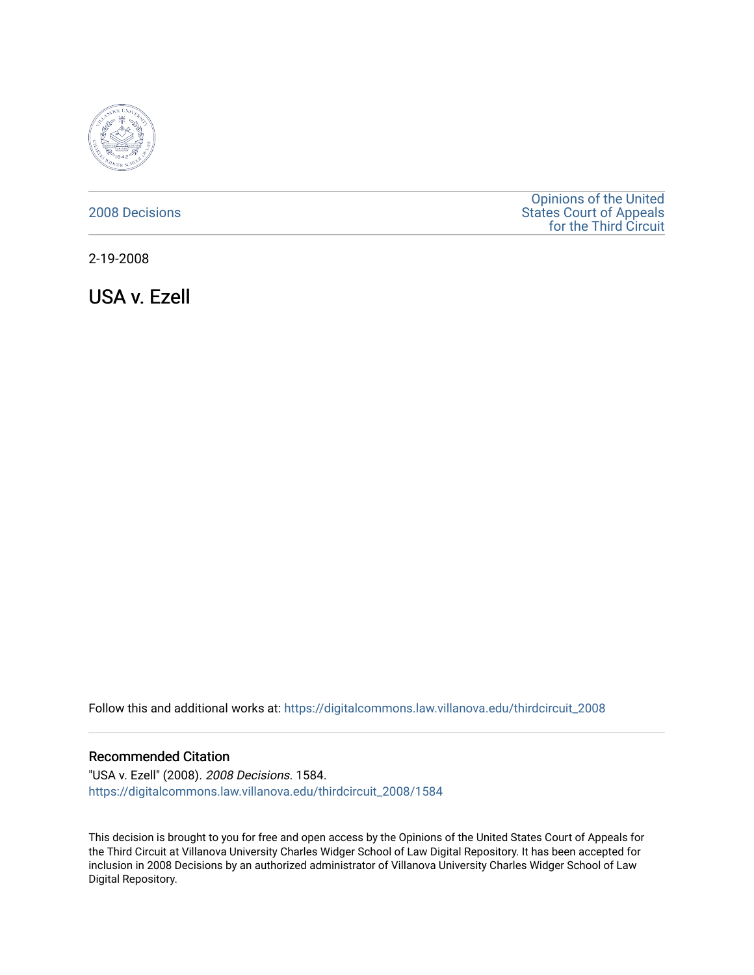

# [2008 Decisions](https://digitalcommons.law.villanova.edu/thirdcircuit_2008)

[Opinions of the United](https://digitalcommons.law.villanova.edu/thirdcircuit)  [States Court of Appeals](https://digitalcommons.law.villanova.edu/thirdcircuit)  [for the Third Circuit](https://digitalcommons.law.villanova.edu/thirdcircuit) 

2-19-2008

USA v. Ezell

Follow this and additional works at: [https://digitalcommons.law.villanova.edu/thirdcircuit\\_2008](https://digitalcommons.law.villanova.edu/thirdcircuit_2008?utm_source=digitalcommons.law.villanova.edu%2Fthirdcircuit_2008%2F1584&utm_medium=PDF&utm_campaign=PDFCoverPages) 

### Recommended Citation

"USA v. Ezell" (2008). 2008 Decisions. 1584. [https://digitalcommons.law.villanova.edu/thirdcircuit\\_2008/1584](https://digitalcommons.law.villanova.edu/thirdcircuit_2008/1584?utm_source=digitalcommons.law.villanova.edu%2Fthirdcircuit_2008%2F1584&utm_medium=PDF&utm_campaign=PDFCoverPages) 

This decision is brought to you for free and open access by the Opinions of the United States Court of Appeals for the Third Circuit at Villanova University Charles Widger School of Law Digital Repository. It has been accepted for inclusion in 2008 Decisions by an authorized administrator of Villanova University Charles Widger School of Law Digital Repository.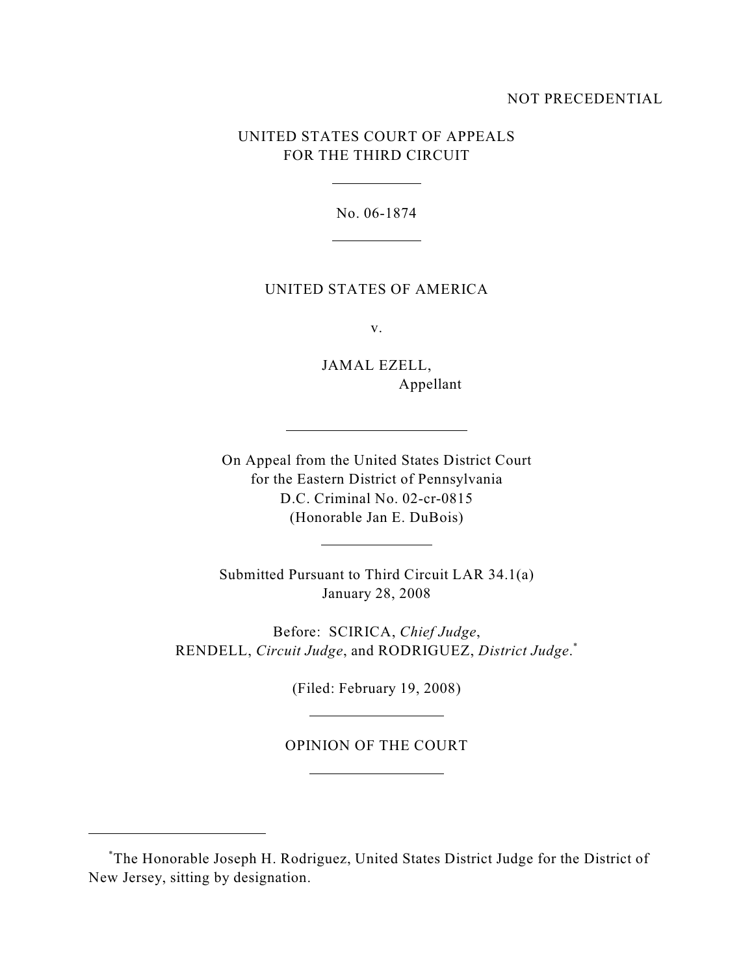## NOT PRECEDENTIAL

# UNITED STATES COURT OF APPEALS FOR THE THIRD CIRCUIT

No. 06-1874

#### UNITED STATES OF AMERICA

v.

JAMAL EZELL, Appellant

On Appeal from the United States District Court for the Eastern District of Pennsylvania D.C. Criminal No. 02-cr-0815 (Honorable Jan E. DuBois)

Submitted Pursuant to Third Circuit LAR 34.1(a) January 28, 2008

Before: SCIRICA, *Chief Judge*, RENDELL, *Circuit Judge*, and RODRIGUEZ, *District Judge*. \*

(Filed: February 19, 2008)

OPINION OF THE COURT

The Honorable Joseph H. Rodriguez, United States District Judge for the District of \* New Jersey, sitting by designation.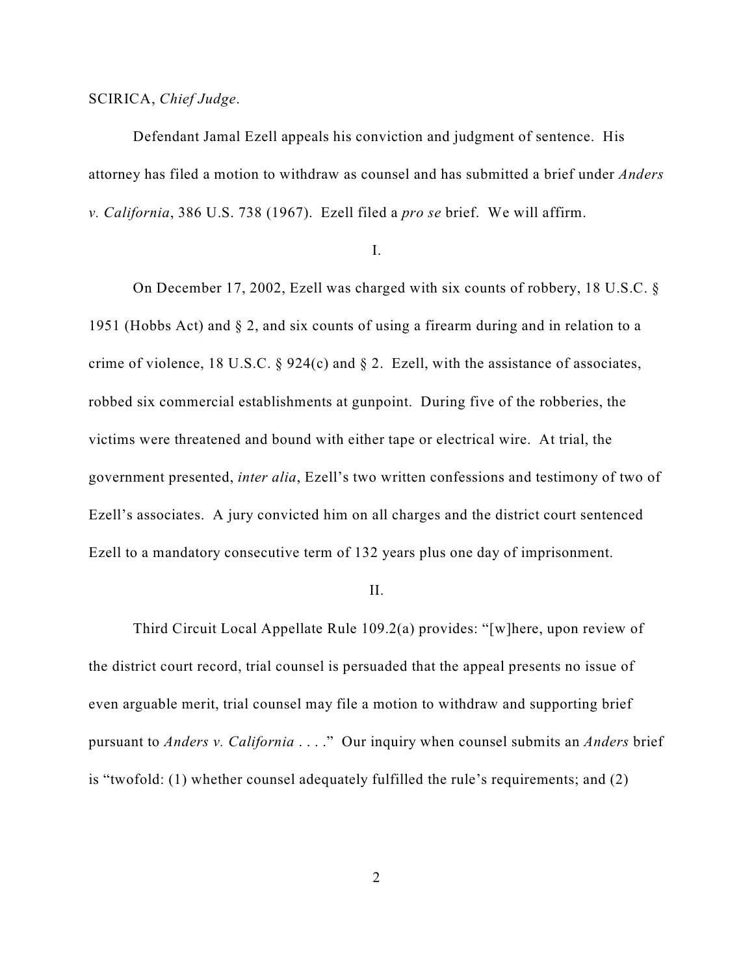## SCIRICA, *Chief Judge*.

Defendant Jamal Ezell appeals his conviction and judgment of sentence. His attorney has filed a motion to withdraw as counsel and has submitted a brief under *Anders v. California*, 386 U.S. 738 (1967). Ezell filed a *pro se* brief. We will affirm.

#### I.

On December 17, 2002, Ezell was charged with six counts of robbery, 18 U.S.C. § 1951 (Hobbs Act) and § 2, and six counts of using a firearm during and in relation to a crime of violence, 18 U.S.C.  $\S$  924(c) and  $\S$  2. Ezell, with the assistance of associates, robbed six commercial establishments at gunpoint. During five of the robberies, the victims were threatened and bound with either tape or electrical wire. At trial, the government presented, *inter alia*, Ezell's two written confessions and testimony of two of Ezell's associates. A jury convicted him on all charges and the district court sentenced Ezell to a mandatory consecutive term of 132 years plus one day of imprisonment.

#### II.

Third Circuit Local Appellate Rule 109.2(a) provides: "[w]here, upon review of the district court record, trial counsel is persuaded that the appeal presents no issue of even arguable merit, trial counsel may file a motion to withdraw and supporting brief pursuant to *Anders v. California* . . . ." Our inquiry when counsel submits an *Anders* brief is "twofold: (1) whether counsel adequately fulfilled the rule's requirements; and (2)

2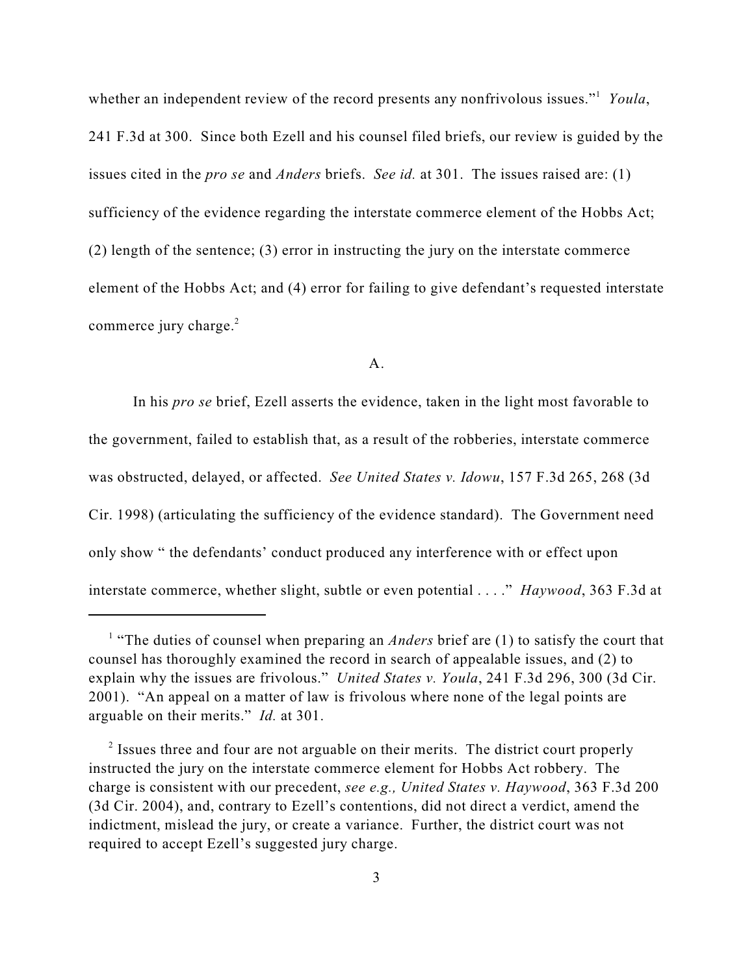whether an independent review of the record presents any nonfrivolous issues."<sup>1</sup> Youla, 241 F.3d at 300. Since both Ezell and his counsel filed briefs, our review is guided by the issues cited in the *pro se* and *Anders* briefs. *See id.* at 301. The issues raised are: (1) sufficiency of the evidence regarding the interstate commerce element of the Hobbs Act; (2) length of the sentence; (3) error in instructing the jury on the interstate commerce element of the Hobbs Act; and (4) error for failing to give defendant's requested interstate commerce jury charge.<sup>2</sup>

#### A.

In his *pro se* brief, Ezell asserts the evidence, taken in the light most favorable to the government, failed to establish that, as a result of the robberies, interstate commerce was obstructed, delayed, or affected. *See United States v. Idowu*, 157 F.3d 265, 268 (3d Cir. 1998) (articulating the sufficiency of the evidence standard). The Government need only show " the defendants' conduct produced any interference with or effect upon interstate commerce, whether slight, subtle or even potential . . . ." *Haywood*, 363 F.3d at

<sup>&</sup>lt;sup>1</sup> "The duties of counsel when preparing an *Anders* brief are (1) to satisfy the court that counsel has thoroughly examined the record in search of appealable issues, and (2) to explain why the issues are frivolous." *United States v. Youla*, 241 F.3d 296, 300 (3d Cir. 2001). "An appeal on a matter of law is frivolous where none of the legal points are arguable on their merits." *Id.* at 301.

 $\frac{1}{2}$  Issues three and four are not arguable on their merits. The district court properly instructed the jury on the interstate commerce element for Hobbs Act robbery. The charge is consistent with our precedent, *see e.g., United States v. Haywood*, 363 F.3d 200 (3d Cir. 2004), and, contrary to Ezell's contentions, did not direct a verdict, amend the indictment, mislead the jury, or create a variance. Further, the district court was not required to accept Ezell's suggested jury charge.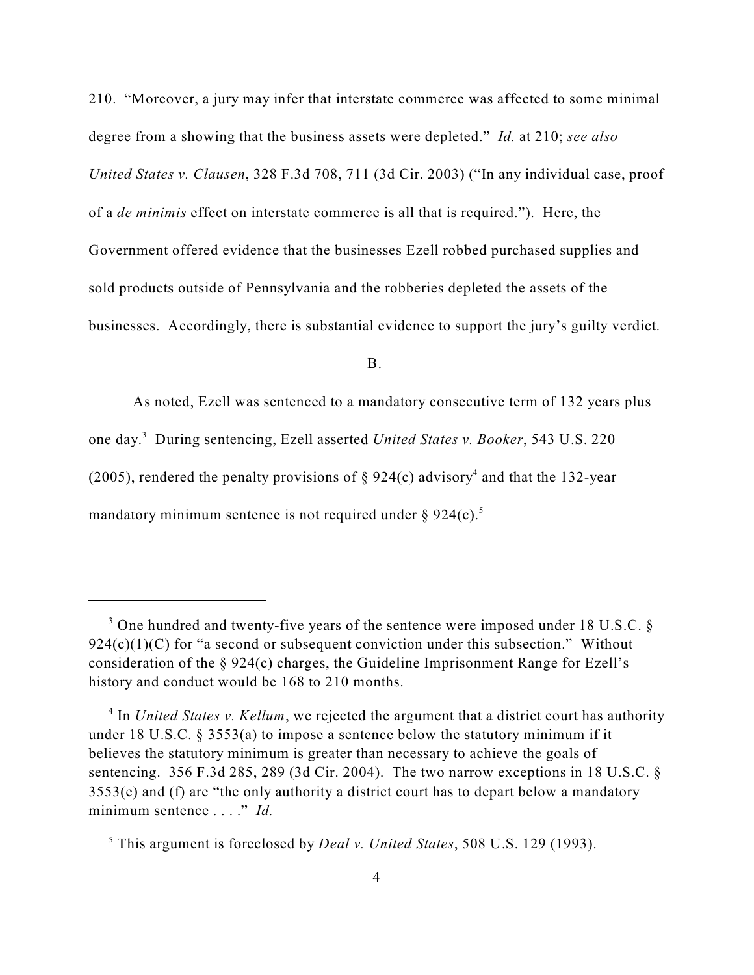210. "Moreover, a jury may infer that interstate commerce was affected to some minimal degree from a showing that the business assets were depleted." *Id.* at 210; *see also United States v. Clausen*, 328 F.3d 708, 711 (3d Cir. 2003) ("In any individual case, proof of a *de minimis* effect on interstate commerce is all that is required."). Here, the Government offered evidence that the businesses Ezell robbed purchased supplies and sold products outside of Pennsylvania and the robberies depleted the assets of the businesses. Accordingly, there is substantial evidence to support the jury's guilty verdict.

B.

As noted, Ezell was sentenced to a mandatory consecutive term of 132 years plus one day.<sup>3</sup> During sentencing, Ezell asserted *United States v. Booker*, 543 U.S. 220 (2005), rendered the penalty provisions of  $\S 924(c)$  advisory<sup>4</sup> and that the 132-year mandatory minimum sentence is not required under  $\S 924(c)$ .<sup>5</sup>

 $3$  One hundred and twenty-five years of the sentence were imposed under 18 U.S.C.  $\S$  $924(c)(1)(C)$  for "a second or subsequent conviction under this subsection." Without consideration of the § 924(c) charges, the Guideline Imprisonment Range for Ezell's history and conduct would be 168 to 210 months.

 $\frac{4}{1}$  In *United States v. Kellum*, we rejected the argument that a district court has authority under 18 U.S.C. § 3553(a) to impose a sentence below the statutory minimum if it believes the statutory minimum is greater than necessary to achieve the goals of sentencing. 356 F.3d 285, 289 (3d Cir. 2004). The two narrow exceptions in 18 U.S.C. § 3553(e) and (f) are "the only authority a district court has to depart below a mandatory minimum sentence . . . ." *Id.*

<sup>&</sup>lt;sup>5</sup> This argument is foreclosed by *Deal v. United States*, 508 U.S. 129 (1993).